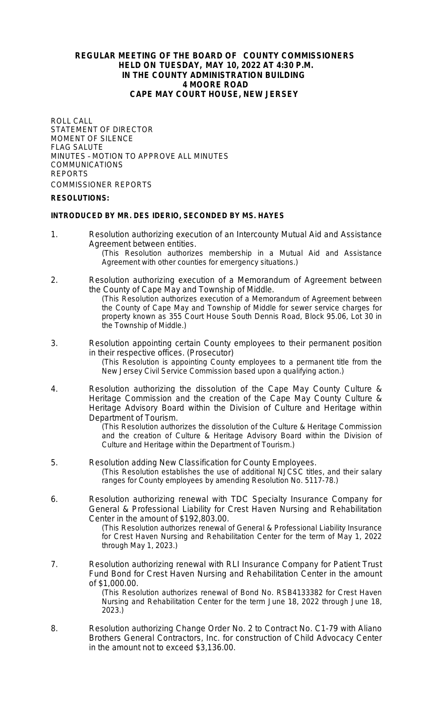## **REGULAR MEETING OF THE BOARD OF COUNTY COMMISSIONERS HELD ON TUESDAY, MAY 10, 2022 AT 4:30 P.M. IN THE COUNTY ADMINISTRATION BUILDING 4 MOORE ROAD CAPE MAY COURT HOUSE, NEW JERSEY**

ROLL CALL STATEMENT OF DIRECTOR MOMENT OF SILENCE FLAG SALUTE MINUTES – MOTION TO APPROVE ALL MINUTES COMMUNICATIONS REPORTS COMMISSIONER REPORTS

## **RESOLUTIONS:**

### **INTRODUCED BY MR. DES IDERIO, SECONDED BY MS. HAYES**

1. Resolution authorizing execution of an Intercounty Mutual Aid and Assistance Agreement between entities.

(This Resolution authorizes membership in a Mutual Aid and Assistance Agreement with other counties for emergency situations.)

- 2. Resolution authorizing execution of a Memorandum of Agreement between the County of Cape May and Township of Middle. (This Resolution authorizes execution of a Memorandum of Agreement between the County of Cape May and Township of Middle for sewer service charges for property known as 355 Court House South Dennis Road, Block 95.06, Lot 30 in the Township of Middle.)
- 3. Resolution appointing certain County employees to their permanent position in their respective offices. (Prosecutor) (This Resolution is appointing County employees to a permanent title from the

New Jersey Civil Service Commission based upon a qualifying action*.*)

4. Resolution authorizing the dissolution of the Cape May County Culture & Heritage Commission and the creation of the Cape May County Culture & Heritage Advisory Board within the Division of Culture and Heritage within Department of Tourism.

(This Resolution authorizes the dissolution of the Culture & Heritage Commission and the creation of Culture & Heritage Advisory Board within the Division of Culture and Heritage within the Department of Tourism.)

- 5. Resolution adding New Classification for County Employees. (This Resolution establishes the use of additional NJCSC titles, and their salary ranges for County employees by amending Resolution No. 5117-78.)
- 6. Resolution authorizing renewal with TDC Specialty Insurance Company for General & Professional Liability for Crest Haven Nursing and Rehabilitation Center in the amount of \$192,803.00.

(This Resolution authorizes renewal of General & Professional Liability Insurance for Crest Haven Nursing and Rehabilitation Center for the term of May 1, 2022 through May 1, 2023.)

7. Resolution authorizing renewal with RLI Insurance Company for Patient Trust Fund Bond for Crest Haven Nursing and Rehabilitation Center in the amount of \$1,000.00.

(This Resolution authorizes renewal of Bond No. RSB4133382 for Crest Haven Nursing and Rehabilitation Center for the term June 18, 2022 through June 18, 2023.)

8. Resolution authorizing Change Order No. 2 to Contract No. C1-79 with Aliano Brothers General Contractors, Inc. for construction of Child Advocacy Center in the amount not to exceed \$3,136.00.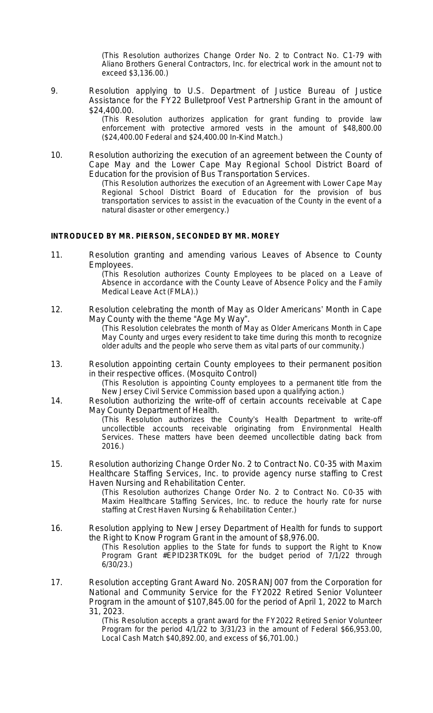(This Resolution authorizes Change Order No. 2 to Contract No. C1-79 with Aliano Brothers General Contractors, Inc. for electrical work in the amount not to exceed \$3,136.00.)

9. Resolution applying to U.S. Department of Justice Bureau of Justice Assistance for the FY22 Bulletproof Vest Partnership Grant in the amount of \$24,400.00.

> (This Resolution authorizes application for grant funding to provide law enforcement with protective armored vests in the amount of \$48,800.00 (\$24,400.00 Federal and \$24,400.00 In-Kind Match.)

10. Resolution authorizing the execution of an agreement between the County of Cape May and the Lower Cape May Regional School District Board of Education for the provision of Bus Transportation Services.

(This Resolution authorizes the execution of an Agreement with Lower Cape May Regional School District Board of Education for the provision of bus transportation services to assist in the evacuation of the County in the event of a natural disaster or other emergency.)

## **INTRODUCED BY MR. PIERSON, SECONDED BY MR. MOREY**

11. Resolution granting and amending various Leaves of Absence to County Employees.

(This Resolution authorizes County Employees to be placed on a Leave of Absence in accordance with the County Leave of Absence Policy and the Family Medical Leave Act (FMLA).)

- 12. Resolution celebrating the month of May as Older Americans' Month in Cape May County with the theme "Age My Way". (This Resolution celebrates the month of May as Older Americans Month in Cape May County and urges every resident to take time during this month to recognize older adults and the people who serve them as vital parts of our community.)
- 13. Resolution appointing certain County employees to their permanent position in their respective offices. (Mosquito Control)

(This Resolution is appointing County employees to a permanent title from the New Jersey Civil Service Commission based upon a qualifying action*.*)

14. Resolution authorizing the write-off of certain accounts receivable at Cape May County Department of Health.

(This Resolution authorizes the County's Health Department to write-off uncollectible accounts receivable originating from Environmental Health Services. These matters have been deemed uncollectible dating back from 2016.)

15. Resolution authorizing Change Order No. 2 to Contract No. C0-35 with Maxim Healthcare Staffing Services, Inc. to provide agency nurse staffing to Crest Haven Nursing and Rehabilitation Center.

(This Resolution authorizes Change Order No. 2 to Contract No. C0-35 with Maxim Healthcare Staffing Services, Inc. to reduce the hourly rate for nurse staffing at Crest Haven Nursing & Rehabilitation Center.)

- 16. Resolution applying to New Jersey Department of Health for funds to support the Right to Know Program Grant in the amount of \$8,976.00. (This Resolution applies to the State for funds to support the Right to Know Program Grant #EPID23RTK09L for the budget period of 7/1/22 through 6/30/23.)
- 17. Resolution accepting Grant Award No. 20SRANJ007 from the Corporation for National and Community Service for the FY2022 Retired Senior Volunteer Program in the amount of \$107,845.00 for the period of April 1, 2022 to March 31, 2023.

(This Resolution accepts a grant award for the FY2022 Retired Senior Volunteer Program for the period 4/1/22 to 3/31/23 in the amount of Federal \$66,953.00, Local Cash Match \$40,892.00, and excess of \$6,701.00.)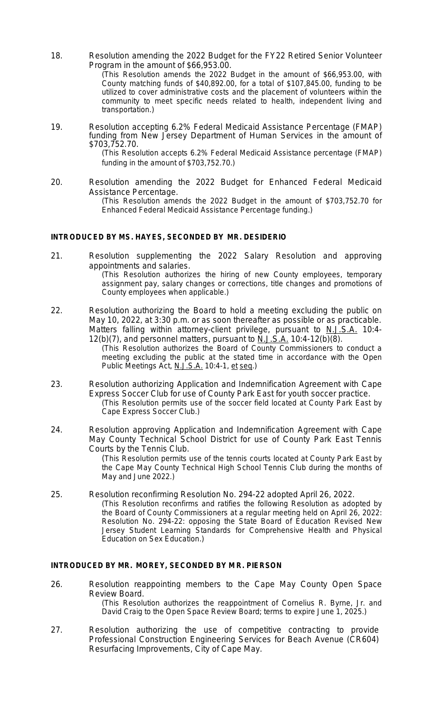- 18. Resolution amending the 2022 Budget for the FY22 Retired Senior Volunteer Program in the amount of \$66,953.00. (This Resolution amends the 2022 Budget in the amount of \$66,953.00, with County matching funds of \$40,892.00, for a total of \$107,845.00, funding to be utilized to cover administrative costs and the placement of volunteers within the community to meet specific needs related to health, independent living and transportation.)
- 19. Resolution accepting 6.2% Federal Medicaid Assistance Percentage (FMAP) funding from New Jersey Department of Human Services in the amount of \$703,752.70.

(This Resolution accepts 6.2% Federal Medicaid Assistance percentage (FMAP) funding in the amount of \$703,752.70.)

20. Resolution amending the 2022 Budget for Enhanced Federal Medicaid Assistance Percentage. (This Resolution amends the 2022 Budget in the amount of \$703,752.70 for Enhanced Federal Medicaid Assistance Percentage funding.)

#### **INTRODUCED BY MS. HAYES, SECONDED BY MR. DESIDERIO**

- 21. Resolution supplementing the 2022 Salary Resolution and approving appointments and salaries. (This Resolution authorizes the hiring of new County employees, temporary assignment pay, salary changes or corrections, title changes and promotions of County employees when applicable.)
- 22. Resolution authorizing the Board to hold a meeting excluding the public on May 10, 2022, at 3:30 p.m. or as soon thereafter as possible or as practicable. Matters falling within attorney-client privilege, pursuant to N.J.S.A. 10:4-12(b)(7), and personnel matters, pursuant to N.J.S.A. 10:4-12(b)(8).

(This Resolution authorizes the Board of County Commissioners to conduct a meeting excluding the public at the stated time in accordance with the Open Public Meetings Act, N.J.S.A. 10:4-1, et seq.)

- 23. Resolution authorizing Application and Indemnification Agreement with Cape Express Soccer Club for use of County Park East for youth soccer practice. (This Resolution permits use of the soccer field located at County Park East by Cape Express Soccer Club.)
- 24. Resolution approving Application and Indemnification Agreement with Cape May County Technical School District for use of County Park East Tennis Courts by the Tennis Club.

(This Resolution permits use of the tennis courts located at County Park East by the Cape May County Technical High School Tennis Club during the months of May and June 2022.)

25. Resolution reconfirming Resolution No. 294-22 adopted April 26, 2022. (This Resolution reconfirms and ratifies the following Resolution as adopted by the Board of County Commissioners at a regular meeting held on April 26, 2022: Resolution No. 294-22: opposing the State Board of Education Revised New Jersey Student Learning Standards for Comprehensive Health and Physical Education on Sex Education.)

#### **INTRODUCED BY MR. MOREY, SECONDED BY MR. PIERSON**

- 26. Resolution reappointing members to the Cape May County Open Space Review Board. (This Resolution authorizes the reappointment of Cornelius R. Byrne, Jr. and David Craig to the Open Space Review Board; terms to expire June 1, 2025.)
- 27. Resolution authorizing the use of competitive contracting to provide Professional Construction Engineering Services for Beach Avenue (CR604) Resurfacing Improvements, City of Cape May.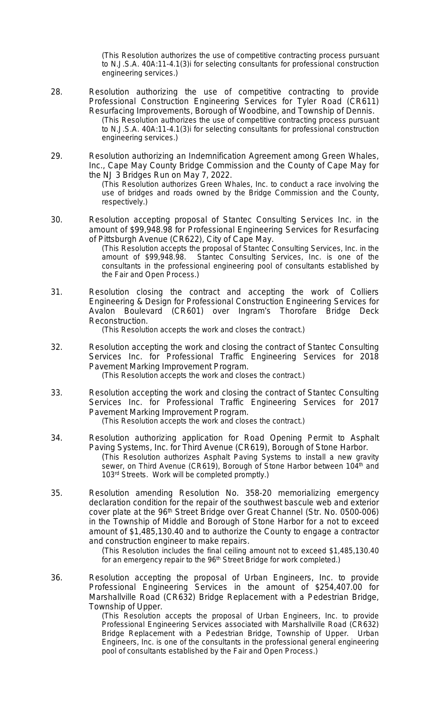(This Resolution authorizes the use of competitive contracting process pursuant to N.J.S.A. 40A:11-4.1(3)i for selecting consultants for professional construction engineering services.)

- 28. Resolution authorizing the use of competitive contracting to provide Professional Construction Engineering Services for Tyler Road (CR611) Resurfacing Improvements, Borough of Woodbine, and Township of Dennis. (This Resolution authorizes the use of competitive contracting process pursuant to N.J.S.A. 40A:11-4.1(3)i for selecting consultants for professional construction engineering services.)
- 29. Resolution authorizing an Indemnification Agreement among Green Whales, Inc., Cape May County Bridge Commission and the County of Cape May for the NJ 3 Bridges Run on May 7, 2022.

(This Resolution authorizes Green Whales, Inc. to conduct a race involving the use of bridges and roads owned by the Bridge Commission and the County, respectively.)

30. Resolution accepting proposal of Stantec Consulting Services Inc. in the amount of \$99,948.98 for Professional Engineering Services for Resurfacing of Pittsburgh Avenue (CR622), City of Cape May.

(This Resolution accepts the proposal of Stantec Consulting Services, Inc. in the amount of \$99,948.98. Stantec Consulting Services, Inc. is one of the consultants in the professional engineering pool of consultants established by the Fair and Open Process.)

31. Resolution closing the contract and accepting the work of Colliers Engineering & Design for Professional Construction Engineering Services for Avalon Boulevard (CR601) over Ingram's Thorofare Bridge Deck Reconstruction.

(This Resolution accepts the work and closes the contract.)

- 32. Resolution accepting the work and closing the contract of Stantec Consulting Services Inc. for Professional Traffic Engineering Services for 2018 Pavement Marking Improvement Program. (This Resolution accepts the work and closes the contract.)
- 33. Resolution accepting the work and closing the contract of Stantec Consulting Services Inc. for Professional Traffic Engineering Services for 2017 Pavement Marking Improvement Program. (This Resolution accepts the work and closes the contract.)
- 34. Resolution authorizing application for Road Opening Permit to Asphalt Paving Systems, Inc. for Third Avenue (CR619), Borough of Stone Harbor. (This Resolution authorizes Asphalt Paving Systems to install a new gravity sewer, on Third Avenue (CR619), Borough of Stone Harbor between 104<sup>th</sup> and 103<sup>rd</sup> Streets. Work will be completed promptly.)
- 35. Resolution amending Resolution No. 358-20 memorializing emergency declaration condition for the repair of the southwest bascule web and exterior cover plate at the 96<sup>th</sup> Street Bridge over Great Channel (Str. No. 0500-006) in the Township of Middle and Borough of Stone Harbor for a not to exceed amount of \$1,485,130.40 and to authorize the County to engage a contractor and construction engineer to make repairs.

(This Resolution includes the final ceiling amount not to exceed \$1,485,130.40 for an emergency repair to the 96<sup>th</sup> Street Bridge for work completed.)

36. Resolution accepting the proposal of Urban Engineers, Inc. to provide Professional Engineering Services in the amount of \$254,407.00 for Marshallville Road (CR632) Bridge Replacement with a Pedestrian Bridge, Township of Upper.

(This Resolution accepts the proposal of Urban Engineers, Inc. to provide Professional Engineering Services associated with Marshallville Road (CR632) Bridge Replacement with a Pedestrian Bridge, Township of Upper. Urban Engineers, Inc. is one of the consultants in the professional general engineering pool of consultants established by the Fair and Open Process.)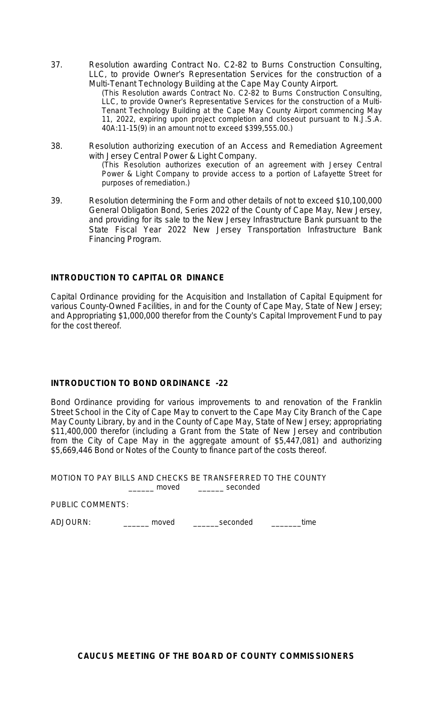37. Resolution awarding Contract No. C2-82 to Burns Construction Consulting, LLC, to provide Owner's Representation Services for the construction of a Multi-Tenant Technology Building at the Cape May County Airport.

(This Resolution awards Contract No. C2-82 to Burns Construction Consulting, LLC, to provide Owner's Representative Services for the construction of a Multi-Tenant Technology Building at the Cape May County Airport commencing May 11, 2022, expiring upon project completion and closeout pursuant to N.J.S.A. 40A:11-15(9) in an amount not to exceed \$399,555.00.)

- 38. Resolution authorizing execution of an Access and Remediation Agreement with Jersey Central Power & Light Company. (This Resolution authorizes execution of an agreement with Jersey Central Power & Light Company to provide access to a portion of Lafayette Street for purposes of remediation.)
- 39. Resolution determining the Form and other details of not to exceed \$10,100,000 General Obligation Bond, Series 2022 of the County of Cape May, New Jersey, and providing for its sale to the New Jersey Infrastructure Bank pursuant to the State Fiscal Year 2022 New Jersey Transportation Infrastructure Bank Financing Program.

# **INTRODUCTION TO CAPITAL OR DINANCE**

Capital Ordinance providing for the Acquisition and Installation of Capital Equipment for various County-Owned Facilities, in and for the County of Cape May, State of New Jersey; and Appropriating \$1,000,000 therefor from the County's Capital Improvement Fund to pay for the cost thereof.

# **INTRODUCTION TO BOND ORDINANCE -22**

Bond Ordinance providing for various improvements to and renovation of the Franklin Street School in the City of Cape May to convert to the Cape May City Branch of the Cape May County Library, by and in the County of Cape May, State of New Jersey; appropriating \$11,400,000 therefor (including a Grant from the State of New Jersey and contribution from the City of Cape May in the aggregate amount of \$5,447,081) and authorizing \$5,669,446 Bond or Notes of the County to finance part of the costs thereof.

MOTION TO PAY BILLS AND CHECKS BE TRANSFERRED TO THE COUNTY \_\_\_\_ moved \_\_\_\_\_\_\_ seconded

PUBLIC COMMENTS:

ADJOURN:\_\_\_\_\_\_ moved \_\_\_\_\_\_seconded \_\_\_\_\_\_\_time

**CAUCUS MEETING OF THE BOA RD OF COUNTY COMMISSIONERS**